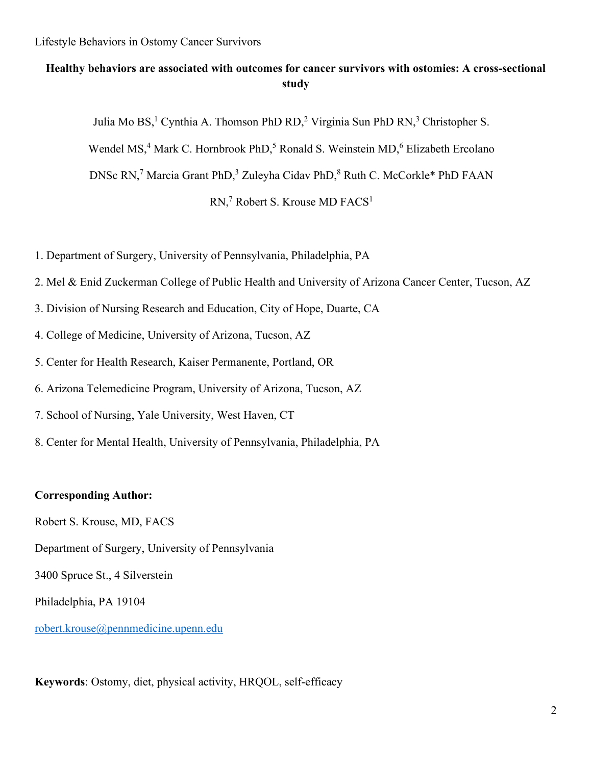# **Healthy behaviors are associated with outcomes for cancer survivors with ostomies: A cross-sectional study**

Julia Mo BS,<sup>1</sup> Cynthia A. Thomson PhD RD,<sup>2</sup> Virginia Sun PhD RN,<sup>3</sup> Christopher S.

Wendel MS,<sup>4</sup> Mark C. Hornbrook PhD,<sup>5</sup> Ronald S. Weinstein MD,<sup>6</sup> Elizabeth Ercolano

DNSc RN,<sup>7</sup> Marcia Grant PhD,<sup>3</sup> Zuleyha Cidav PhD,<sup>8</sup> Ruth C. McCorkle\* PhD FAAN

RN,<sup>7</sup> Robert S. Krouse MD FACS<sup>1</sup>

- 1. Department of Surgery, University of Pennsylvania, Philadelphia, PA
- 2. Mel & Enid Zuckerman College of Public Health and University of Arizona Cancer Center, Tucson, AZ
- 3. Division of Nursing Research and Education, City of Hope, Duarte, CA
- 4. College of Medicine, University of Arizona, Tucson, AZ
- 5. Center for Health Research, Kaiser Permanente, Portland, OR
- 6. Arizona Telemedicine Program, University of Arizona, Tucson, AZ
- 7. School of Nursing, Yale University, West Haven, CT
- 8. Center for Mental Health, University of Pennsylvania, Philadelphia, PA

### **Corresponding Author:**

Robert S. Krouse, MD, FACS

Department of Surgery, University of Pennsylvania

3400 Spruce St., 4 Silverstein

Philadelphia, PA 19104

[robert.krouse@pennmedicine.upenn.edu](mailto:Lisa.herrinton@kp.org)

**Keywords**: Ostomy, diet, physical activity, HRQOL, self-efficacy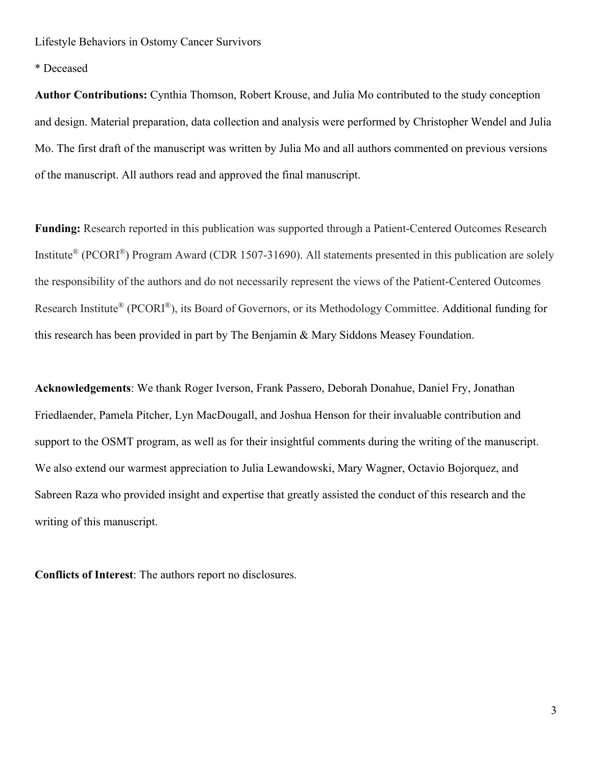\* Deceased

**Author Contributions:** Cynthia Thomson, Robert Krouse, and Julia Mo contributed to the study conception and design. Material preparation, data collection and analysis were performed by Christopher Wendel and Julia Mo. The first draft of the manuscript was written by Julia Mo and all authors commented on previous versions of the manuscript. All authors read and approved the final manuscript.

**Funding:** Research reported in this publication was supported through a Patient-Centered Outcomes Research Institute® (PCORI®) Program Award (CDR 1507-31690). All statements presented in this publication are solely the responsibility of the authors and do not necessarily represent the views of the Patient-Centered Outcomes Research Institute® (PCORI®), its Board of Governors, or its Methodology Committee. Additional funding for this research has been provided in part by The Benjamin & Mary Siddons Measey Foundation.

**Acknowledgements**: We thank Roger Iverson, Frank Passero, Deborah Donahue, Daniel Fry, Jonathan Friedlaender, Pamela Pitcher, Lyn MacDougall, and Joshua Henson for their invaluable contribution and support to the OSMT program, as well as for their insightful comments during the writing of the manuscript. We also extend our warmest appreciation to Julia Lewandowski, Mary Wagner, Octavio Bojorquez, and Sabreen Raza who provided insight and expertise that greatly assisted the conduct of this research and the writing of this manuscript.

**Conflicts of Interest**: The authors report no disclosures.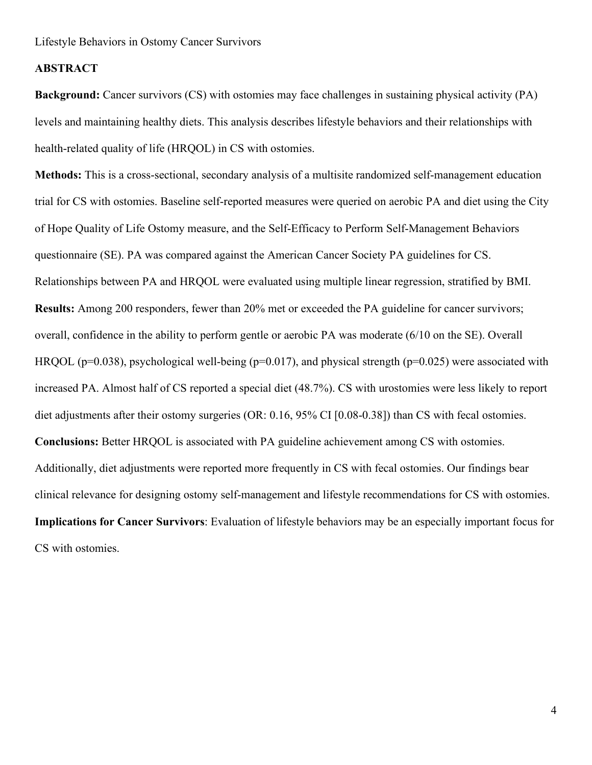### **ABSTRACT**

**Background:** Cancer survivors (CS) with ostomies may face challenges in sustaining physical activity (PA) levels and maintaining healthy diets. This analysis describes lifestyle behaviors and their relationships with health-related quality of life (HRQOL) in CS with ostomies.

**Methods:** This is a cross-sectional, secondary analysis of a multisite randomized self-management education trial for CS with ostomies. Baseline self-reported measures were queried on aerobic PA and diet using the City of Hope Quality of Life Ostomy measure, and the Self-Efficacy to Perform Self-Management Behaviors questionnaire (SE). PA was compared against the American Cancer Society PA guidelines for CS. Relationships between PA and HRQOL were evaluated using multiple linear regression, stratified by BMI. **Results:** Among 200 responders, fewer than 20% met or exceeded the PA guideline for cancer survivors; overall, confidence in the ability to perform gentle or aerobic PA was moderate (6/10 on the SE). Overall HRQOL ( $p=0.038$ ), psychological well-being ( $p=0.017$ ), and physical strength ( $p=0.025$ ) were associated with increased PA. Almost half of CS reported a special diet (48.7%). CS with urostomies were less likely to report diet adjustments after their ostomy surgeries (OR: 0.16, 95% CI [0.08-0.38]) than CS with fecal ostomies. **Conclusions:** Better HRQOL is associated with PA guideline achievement among CS with ostomies. Additionally, diet adjustments were reported more frequently in CS with fecal ostomies. Our findings bear clinical relevance for designing ostomy self-management and lifestyle recommendations for CS with ostomies. **Implications for Cancer Survivors**: Evaluation of lifestyle behaviors may be an especially important focus for CS with ostomies.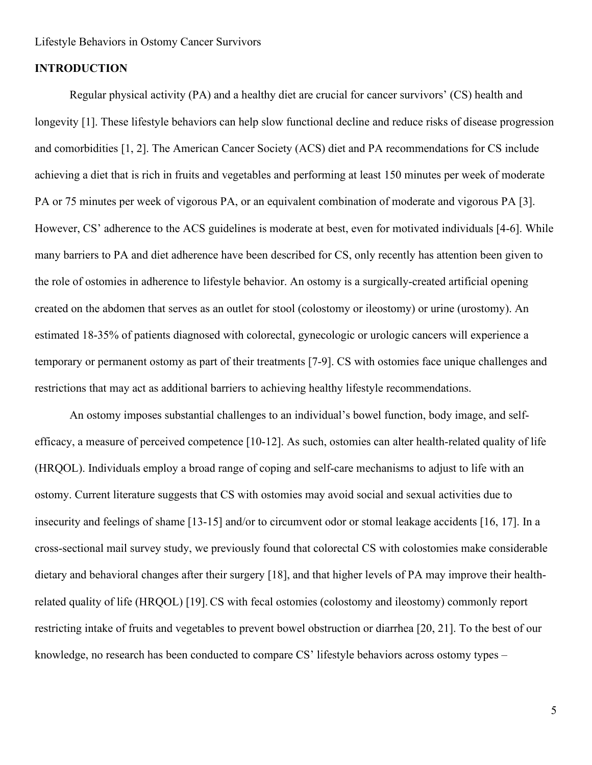#### **INTRODUCTION**

Regular physical activity (PA) and a healthy diet are crucial for cancer survivors' (CS) health and longevity [1]. These lifestyle behaviors can help slow functional decline and reduce risks of disease progression and comorbidities [1, 2]. The American Cancer Society (ACS) diet and PA recommendations for CS include achieving a diet that is rich in fruits and vegetables and performing at least 150 minutes per week of moderate PA or 75 minutes per week of vigorous PA, or an equivalent combination of moderate and vigorous PA [3]. However, CS' adherence to the ACS guidelines is moderate at best, even for motivated individuals [4-6]. While many barriers to PA and diet adherence have been described for CS, only recently has attention been given to the role of ostomies in adherence to lifestyle behavior. An ostomy is a surgically-created artificial opening created on the abdomen that serves as an outlet for stool (colostomy or ileostomy) or urine (urostomy). An estimated 18-35% of patients diagnosed with colorectal, gynecologic or urologic cancers will experience a temporary or permanent ostomy as part of their treatments [7-9]. CS with ostomies face unique challenges and restrictions that may act as additional barriers to achieving healthy lifestyle recommendations.

An ostomy imposes substantial challenges to an individual's bowel function, body image, and selfefficacy, a measure of perceived competence [10-12]. As such, ostomies can alter health-related quality of life (HRQOL). Individuals employ a broad range of coping and self-care mechanisms to adjust to life with an ostomy. Current literature suggests that CS with ostomies may avoid social and sexual activities due to insecurity and feelings of shame [13-15] and/or to circumvent odor or stomal leakage accidents [16, 17]. In a cross-sectional mail survey study, we previously found that colorectal CS with colostomies make considerable dietary and behavioral changes after their surgery [18], and that higher levels of PA may improve their healthrelated quality of life (HRQOL) [19]. CS with fecal ostomies (colostomy and ileostomy) commonly report restricting intake of fruits and vegetables to prevent bowel obstruction or diarrhea [20, 21]. To the best of our knowledge, no research has been conducted to compare CS' lifestyle behaviors across ostomy types –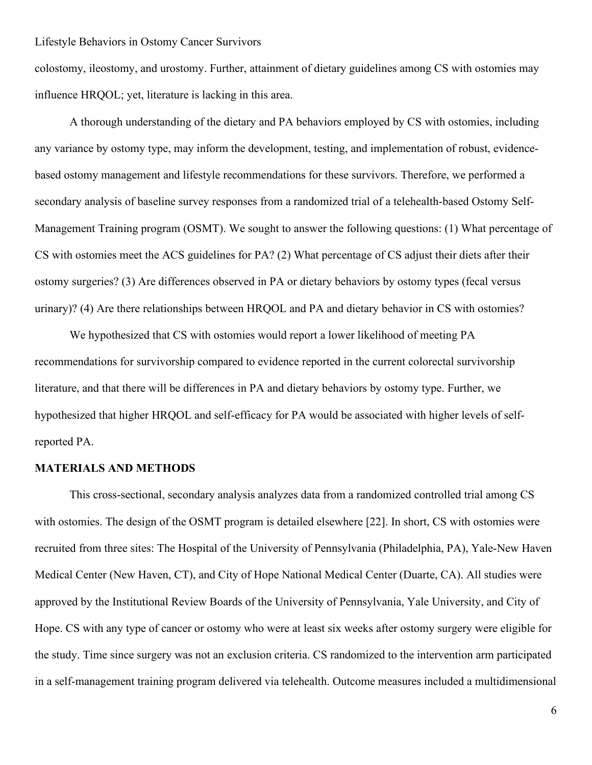colostomy, ileostomy, and urostomy. Further, attainment of dietary guidelines among CS with ostomies may influence HRQOL; yet, literature is lacking in this area.

A thorough understanding of the dietary and PA behaviors employed by CS with ostomies, including any variance by ostomy type, may inform the development, testing, and implementation of robust, evidencebased ostomy management and lifestyle recommendations for these survivors. Therefore, we performed a secondary analysis of baseline survey responses from a randomized trial of a telehealth-based Ostomy Self-Management Training program (OSMT). We sought to answer the following questions: (1) What percentage of CS with ostomies meet the ACS guidelines for PA? (2) What percentage of CS adjust their diets after their ostomy surgeries? (3) Are differences observed in PA or dietary behaviors by ostomy types (fecal versus urinary)? (4) Are there relationships between HRQOL and PA and dietary behavior in CS with ostomies?

We hypothesized that CS with ostomies would report a lower likelihood of meeting PA recommendations for survivorship compared to evidence reported in the current colorectal survivorship literature, and that there will be differences in PA and dietary behaviors by ostomy type. Further, we hypothesized that higher HRQOL and self-efficacy for PA would be associated with higher levels of selfreported PA.

### **MATERIALS AND METHODS**

This cross-sectional, secondary analysis analyzes data from a randomized controlled trial among CS with ostomies. The design of the OSMT program is detailed elsewhere [22]. In short, CS with ostomies were recruited from three sites: The Hospital of the University of Pennsylvania (Philadelphia, PA), Yale-New Haven Medical Center (New Haven, CT), and City of Hope National Medical Center (Duarte, CA). All studies were approved by the Institutional Review Boards of the University of Pennsylvania, Yale University, and City of Hope. CS with any type of cancer or ostomy who were at least six weeks after ostomy surgery were eligible for the study. Time since surgery was not an exclusion criteria. CS randomized to the intervention arm participated in a self-management training program delivered via telehealth. Outcome measures included a multidimensional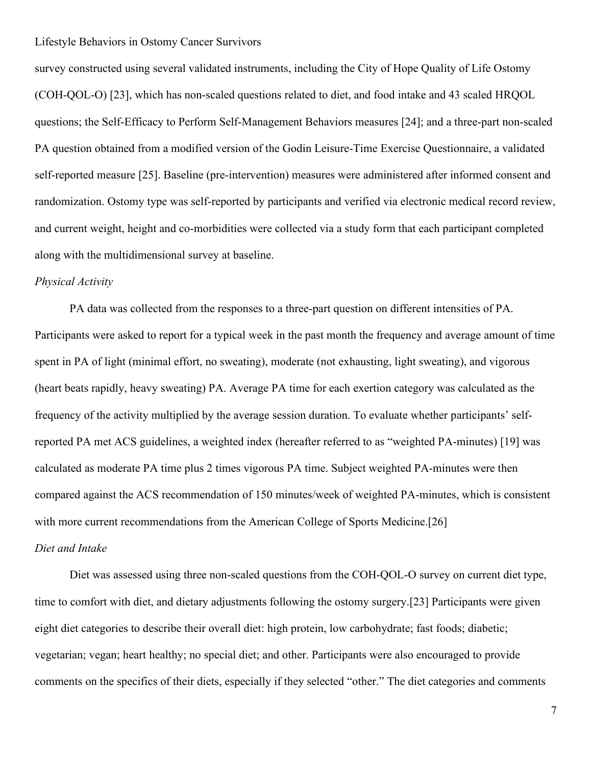survey constructed using several validated instruments, including the City of Hope Quality of Life Ostomy (COH-QOL-O) [23], which has non-scaled questions related to diet, and food intake and 43 scaled HRQOL questions; the Self-Efficacy to Perform Self-Management Behaviors measures [24]; and a three-part non-scaled PA question obtained from a modified version of the Godin Leisure-Time Exercise Questionnaire, a validated self-reported measure [25]. Baseline (pre-intervention) measures were administered after informed consent and randomization. Ostomy type was self-reported by participants and verified via electronic medical record review, and current weight, height and co-morbidities were collected via a study form that each participant completed along with the multidimensional survey at baseline.

### *Physical Activity*

PA data was collected from the responses to a three-part question on different intensities of PA. Participants were asked to report for a typical week in the past month the frequency and average amount of time spent in PA of light (minimal effort, no sweating), moderate (not exhausting, light sweating), and vigorous (heart beats rapidly, heavy sweating) PA. Average PA time for each exertion category was calculated as the frequency of the activity multiplied by the average session duration. To evaluate whether participants' selfreported PA met ACS guidelines, a weighted index (hereafter referred to as "weighted PA-minutes) [19] was calculated as moderate PA time plus 2 times vigorous PA time. Subject weighted PA-minutes were then compared against the ACS recommendation of 150 minutes/week of weighted PA-minutes, which is consistent with more current recommendations from the American College of Sports Medicine.[26]

#### *Diet and Intake*

Diet was assessed using three non-scaled questions from the COH-QOL-O survey on current diet type, time to comfort with diet, and dietary adjustments following the ostomy surgery.[23] Participants were given eight diet categories to describe their overall diet: high protein, low carbohydrate; fast foods; diabetic; vegetarian; vegan; heart healthy; no special diet; and other. Participants were also encouraged to provide comments on the specifics of their diets, especially if they selected "other." The diet categories and comments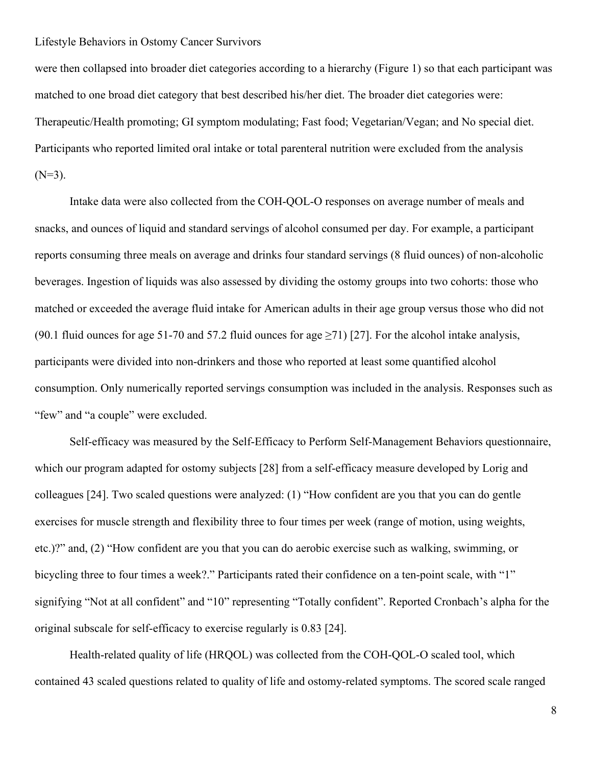were then collapsed into broader diet categories according to a hierarchy (Figure 1) so that each participant was matched to one broad diet category that best described his/her diet. The broader diet categories were: Therapeutic/Health promoting; GI symptom modulating; Fast food; Vegetarian/Vegan; and No special diet. Participants who reported limited oral intake or total parenteral nutrition were excluded from the analysis  $(N=3)$ .

Intake data were also collected from the COH-QOL-O responses on average number of meals and snacks, and ounces of liquid and standard servings of alcohol consumed per day. For example, a participant reports consuming three meals on average and drinks four standard servings (8 fluid ounces) of non-alcoholic beverages. Ingestion of liquids was also assessed by dividing the ostomy groups into two cohorts: those who matched or exceeded the average fluid intake for American adults in their age group versus those who did not (90.1 fluid ounces for age 51-70 and 57.2 fluid ounces for age  $\geq$ 71) [27]. For the alcohol intake analysis, participants were divided into non-drinkers and those who reported at least some quantified alcohol consumption. Only numerically reported servings consumption was included in the analysis. Responses such as "few" and "a couple" were excluded.

Self-efficacy was measured by the Self-Efficacy to Perform Self-Management Behaviors questionnaire, which our program adapted for ostomy subjects [28] from a self-efficacy measure developed by Lorig and colleagues [24]. Two scaled questions were analyzed: (1) "How confident are you that you can do gentle exercises for muscle strength and flexibility three to four times per week (range of motion, using weights, etc.)?" and, (2) "How confident are you that you can do aerobic exercise such as walking, swimming, or bicycling three to four times a week?." Participants rated their confidence on a ten-point scale, with "1" signifying "Not at all confident" and "10" representing "Totally confident". Reported Cronbach's alpha for the original subscale for self-efficacy to exercise regularly is 0.83 [24].

Health-related quality of life (HRQOL) was collected from the COH-QOL-O scaled tool, which contained 43 scaled questions related to quality of life and ostomy-related symptoms. The scored scale ranged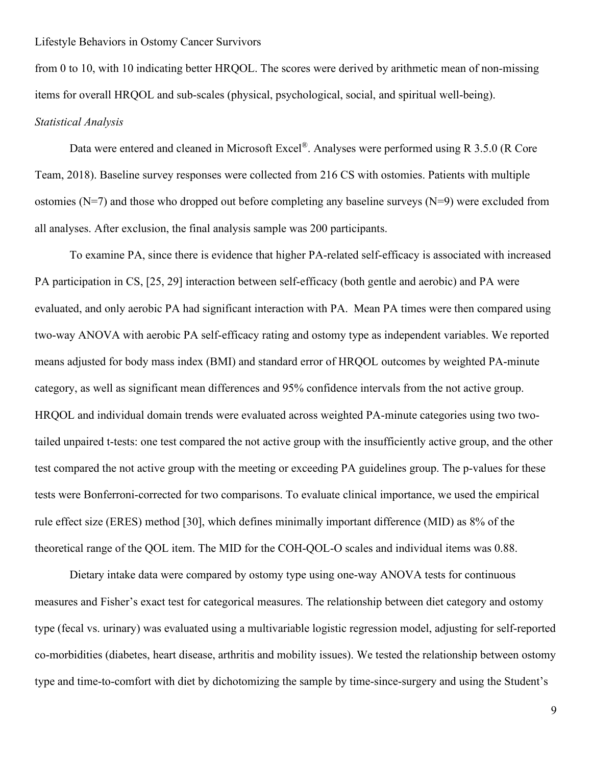from 0 to 10, with 10 indicating better HRQOL. The scores were derived by arithmetic mean of non-missing items for overall HRQOL and sub-scales (physical, psychological, social, and spiritual well-being). *Statistical Analysis*

Data were entered and cleaned in Microsoft Excel<sup>®</sup>. Analyses were performed using R 3.5.0 (R Core Team, 2018). Baseline survey responses were collected from 216 CS with ostomies. Patients with multiple ostomies ( $N=7$ ) and those who dropped out before completing any baseline surveys ( $N=9$ ) were excluded from all analyses. After exclusion, the final analysis sample was 200 participants.

To examine PA, since there is evidence that higher PA-related self-efficacy is associated with increased PA participation in CS, [25, 29] interaction between self-efficacy (both gentle and aerobic) and PA were evaluated, and only aerobic PA had significant interaction with PA. Mean PA times were then compared using two-way ANOVA with aerobic PA self-efficacy rating and ostomy type as independent variables. We reported means adjusted for body mass index (BMI) and standard error of HRQOL outcomes by weighted PA-minute category, as well as significant mean differences and 95% confidence intervals from the not active group. HRQOL and individual domain trends were evaluated across weighted PA-minute categories using two twotailed unpaired t-tests: one test compared the not active group with the insufficiently active group, and the other test compared the not active group with the meeting or exceeding PA guidelines group. The p-values for these tests were Bonferroni-corrected for two comparisons. To evaluate clinical importance, we used the empirical rule effect size (ERES) method [30], which defines minimally important difference (MID) as 8% of the theoretical range of the QOL item. The MID for the COH-QOL-O scales and individual items was 0.88.

Dietary intake data were compared by ostomy type using one-way ANOVA tests for continuous measures and Fisher's exact test for categorical measures. The relationship between diet category and ostomy type (fecal vs. urinary) was evaluated using a multivariable logistic regression model, adjusting for self-reported co-morbidities (diabetes, heart disease, arthritis and mobility issues). We tested the relationship between ostomy type and time-to-comfort with diet by dichotomizing the sample by time-since-surgery and using the Student's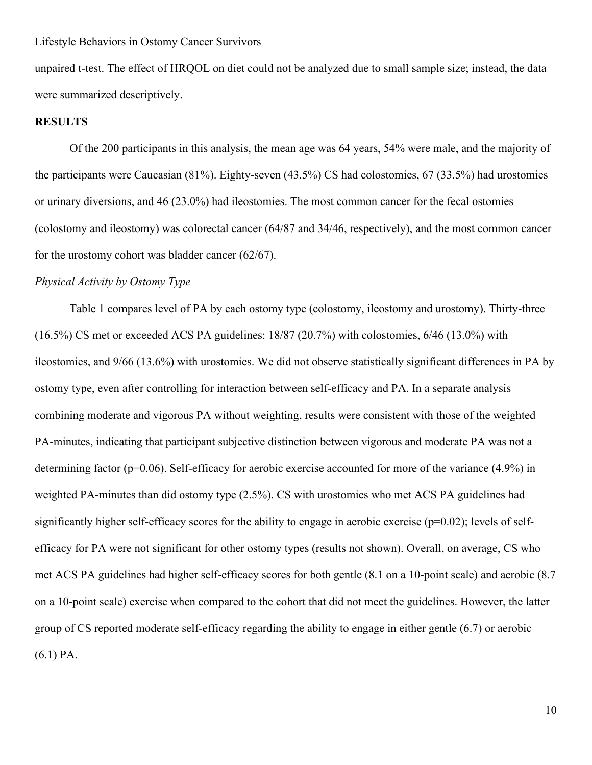unpaired t-test. The effect of HRQOL on diet could not be analyzed due to small sample size; instead, the data were summarized descriptively.

#### **RESULTS**

Of the 200 participants in this analysis, the mean age was 64 years, 54% were male, and the majority of the participants were Caucasian (81%). Eighty-seven (43.5%) CS had colostomies, 67 (33.5%) had urostomies or urinary diversions, and 46 (23.0%) had ileostomies. The most common cancer for the fecal ostomies (colostomy and ileostomy) was colorectal cancer (64/87 and 34/46, respectively), and the most common cancer for the urostomy cohort was bladder cancer (62/67).

### *Physical Activity by Ostomy Type*

Table 1 compares level of PA by each ostomy type (colostomy, ileostomy and urostomy). Thirty-three (16.5%) CS met or exceeded ACS PA guidelines: 18/87 (20.7%) with colostomies, 6/46 (13.0%) with ileostomies, and 9/66 (13.6%) with urostomies. We did not observe statistically significant differences in PA by ostomy type, even after controlling for interaction between self-efficacy and PA. In a separate analysis combining moderate and vigorous PA without weighting, results were consistent with those of the weighted PA-minutes, indicating that participant subjective distinction between vigorous and moderate PA was not a determining factor (p=0.06). Self-efficacy for aerobic exercise accounted for more of the variance (4.9%) in weighted PA-minutes than did ostomy type (2.5%). CS with urostomies who met ACS PA guidelines had significantly higher self-efficacy scores for the ability to engage in aerobic exercise (p=0.02); levels of selfefficacy for PA were not significant for other ostomy types (results not shown). Overall, on average, CS who met ACS PA guidelines had higher self-efficacy scores for both gentle (8.1 on a 10-point scale) and aerobic (8.7 on a 10-point scale) exercise when compared to the cohort that did not meet the guidelines. However, the latter group of CS reported moderate self-efficacy regarding the ability to engage in either gentle (6.7) or aerobic (6.1) PA.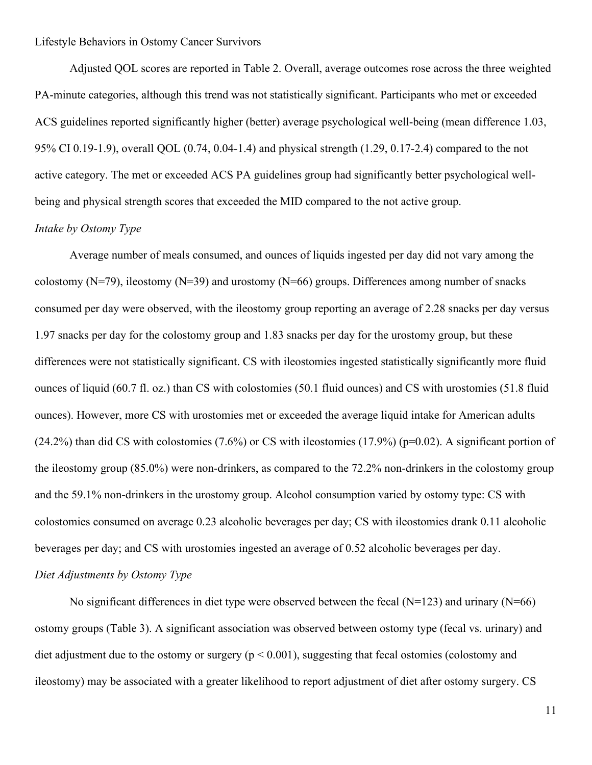Adjusted QOL scores are reported in Table 2. Overall, average outcomes rose across the three weighted PA-minute categories, although this trend was not statistically significant. Participants who met or exceeded ACS guidelines reported significantly higher (better) average psychological well-being (mean difference 1.03, 95% CI 0.19-1.9), overall QOL (0.74, 0.04-1.4) and physical strength (1.29, 0.17-2.4) compared to the not active category. The met or exceeded ACS PA guidelines group had significantly better psychological wellbeing and physical strength scores that exceeded the MID compared to the not active group. *Intake by Ostomy Type*

Average number of meals consumed, and ounces of liquids ingested per day did not vary among the colostomy (N=79), ileostomy (N=39) and urostomy (N=66) groups. Differences among number of snacks consumed per day were observed, with the ileostomy group reporting an average of 2.28 snacks per day versus 1.97 snacks per day for the colostomy group and 1.83 snacks per day for the urostomy group, but these differences were not statistically significant. CS with ileostomies ingested statistically significantly more fluid ounces of liquid (60.7 fl. oz.) than CS with colostomies (50.1 fluid ounces) and CS with urostomies (51.8 fluid ounces). However, more CS with urostomies met or exceeded the average liquid intake for American adults  $(24.2\%)$  than did CS with colostomies  $(7.6\%)$  or CS with ileostomies  $(17.9\%)$  (p=0.02). A significant portion of the ileostomy group (85.0%) were non-drinkers, as compared to the 72.2% non-drinkers in the colostomy group and the 59.1% non-drinkers in the urostomy group. Alcohol consumption varied by ostomy type: CS with colostomies consumed on average 0.23 alcoholic beverages per day; CS with ileostomies drank 0.11 alcoholic beverages per day; and CS with urostomies ingested an average of 0.52 alcoholic beverages per day. *Diet Adjustments by Ostomy Type*

No significant differences in diet type were observed between the fecal ( $N=123$ ) and urinary ( $N=66$ ) ostomy groups (Table 3). A significant association was observed between ostomy type (fecal vs. urinary) and diet adjustment due to the ostomy or surgery ( $p < 0.001$ ), suggesting that fecal ostomies (colostomy and ileostomy) may be associated with a greater likelihood to report adjustment of diet after ostomy surgery. CS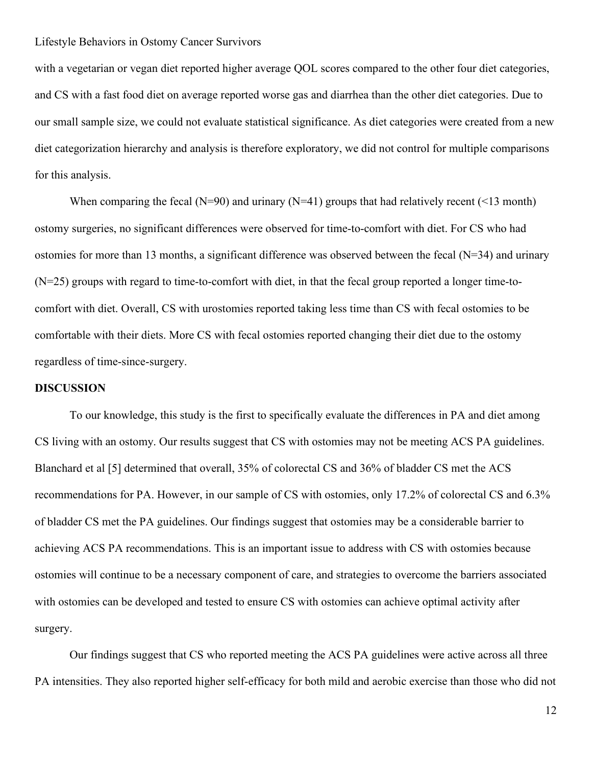with a vegetarian or vegan diet reported higher average QOL scores compared to the other four diet categories, and CS with a fast food diet on average reported worse gas and diarrhea than the other diet categories. Due to our small sample size, we could not evaluate statistical significance. As diet categories were created from a new diet categorization hierarchy and analysis is therefore exploratory, we did not control for multiple comparisons for this analysis.

When comparing the fecal (N=90) and urinary (N=41) groups that had relatively recent (<13 month) ostomy surgeries, no significant differences were observed for time-to-comfort with diet. For CS who had ostomies for more than 13 months, a significant difference was observed between the fecal  $(N=34)$  and urinary (N=25) groups with regard to time-to-comfort with diet, in that the fecal group reported a longer time-tocomfort with diet. Overall, CS with urostomies reported taking less time than CS with fecal ostomies to be comfortable with their diets. More CS with fecal ostomies reported changing their diet due to the ostomy regardless of time-since-surgery.

### **DISCUSSION**

To our knowledge, this study is the first to specifically evaluate the differences in PA and diet among CS living with an ostomy. Our results suggest that CS with ostomies may not be meeting ACS PA guidelines. Blanchard et al [5] determined that overall, 35% of colorectal CS and 36% of bladder CS met the ACS recommendations for PA. However, in our sample of CS with ostomies, only 17.2% of colorectal CS and 6.3% of bladder CS met the PA guidelines. Our findings suggest that ostomies may be a considerable barrier to achieving ACS PA recommendations. This is an important issue to address with CS with ostomies because ostomies will continue to be a necessary component of care, and strategies to overcome the barriers associated with ostomies can be developed and tested to ensure CS with ostomies can achieve optimal activity after surgery.

Our findings suggest that CS who reported meeting the ACS PA guidelines were active across all three PA intensities. They also reported higher self-efficacy for both mild and aerobic exercise than those who did not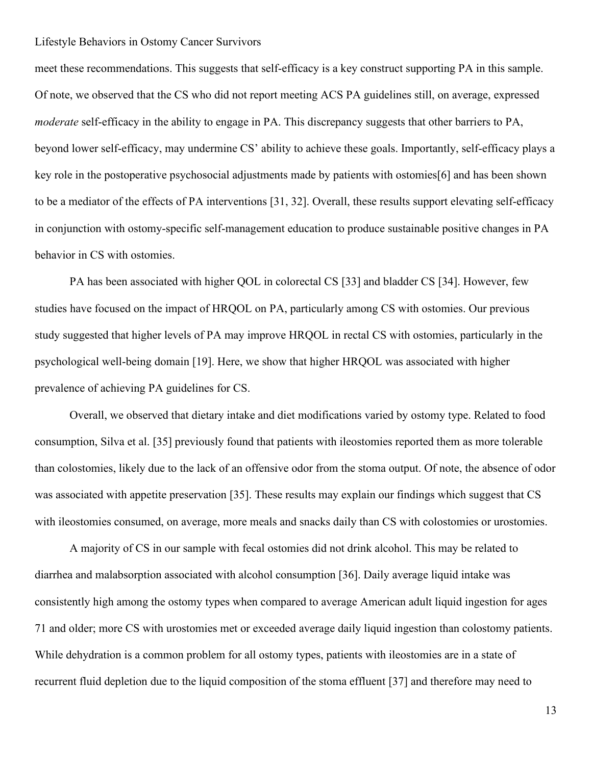meet these recommendations. This suggests that self-efficacy is a key construct supporting PA in this sample. Of note, we observed that the CS who did not report meeting ACS PA guidelines still, on average, expressed *moderate* self-efficacy in the ability to engage in PA. This discrepancy suggests that other barriers to PA, beyond lower self-efficacy, may undermine CS' ability to achieve these goals. Importantly, self-efficacy plays a key role in the postoperative psychosocial adjustments made by patients with ostomies[6] and has been shown to be a mediator of the effects of PA interventions [31, 32]. Overall, these results support elevating self-efficacy in conjunction with ostomy-specific self-management education to produce sustainable positive changes in PA behavior in CS with ostomies.

PA has been associated with higher QOL in colorectal CS [33] and bladder CS [34]. However, few studies have focused on the impact of HRQOL on PA, particularly among CS with ostomies. Our previous study suggested that higher levels of PA may improve HRQOL in rectal CS with ostomies, particularly in the psychological well-being domain [19]. Here, we show that higher HRQOL was associated with higher prevalence of achieving PA guidelines for CS.

Overall, we observed that dietary intake and diet modifications varied by ostomy type. Related to food consumption, Silva et al. [35] previously found that patients with ileostomies reported them as more tolerable than colostomies, likely due to the lack of an offensive odor from the stoma output. Of note, the absence of odor was associated with appetite preservation [35]. These results may explain our findings which suggest that CS with ileostomies consumed, on average, more meals and snacks daily than CS with colostomies or urostomies.

A majority of CS in our sample with fecal ostomies did not drink alcohol. This may be related to diarrhea and malabsorption associated with alcohol consumption [36]. Daily average liquid intake was consistently high among the ostomy types when compared to average American adult liquid ingestion for ages 71 and older; more CS with urostomies met or exceeded average daily liquid ingestion than colostomy patients. While dehydration is a common problem for all ostomy types, patients with ileostomies are in a state of recurrent fluid depletion due to the liquid composition of the stoma effluent [37] and therefore may need to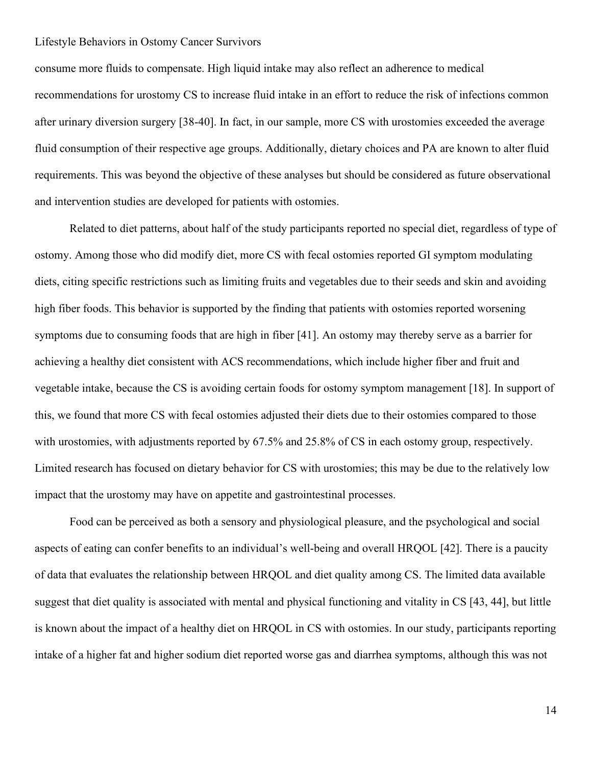consume more fluids to compensate. High liquid intake may also reflect an adherence to medical recommendations for urostomy CS to increase fluid intake in an effort to reduce the risk of infections common after urinary diversion surgery [38-40]. In fact, in our sample, more CS with urostomies exceeded the average fluid consumption of their respective age groups. Additionally, dietary choices and PA are known to alter fluid requirements. This was beyond the objective of these analyses but should be considered as future observational and intervention studies are developed for patients with ostomies.

Related to diet patterns, about half of the study participants reported no special diet, regardless of type of ostomy. Among those who did modify diet, more CS with fecal ostomies reported GI symptom modulating diets, citing specific restrictions such as limiting fruits and vegetables due to their seeds and skin and avoiding high fiber foods. This behavior is supported by the finding that patients with ostomies reported worsening symptoms due to consuming foods that are high in fiber [41]. An ostomy may thereby serve as a barrier for achieving a healthy diet consistent with ACS recommendations, which include higher fiber and fruit and vegetable intake, because the CS is avoiding certain foods for ostomy symptom management [18]. In support of this, we found that more CS with fecal ostomies adjusted their diets due to their ostomies compared to those with urostomies, with adjustments reported by 67.5% and 25.8% of CS in each ostomy group, respectively. Limited research has focused on dietary behavior for CS with urostomies; this may be due to the relatively low impact that the urostomy may have on appetite and gastrointestinal processes.

Food can be perceived as both a sensory and physiological pleasure, and the psychological and social aspects of eating can confer benefits to an individual's well-being and overall HRQOL [42]. There is a paucity of data that evaluates the relationship between HRQOL and diet quality among CS. The limited data available suggest that diet quality is associated with mental and physical functioning and vitality in CS [43, 44], but little is known about the impact of a healthy diet on HRQOL in CS with ostomies. In our study, participants reporting intake of a higher fat and higher sodium diet reported worse gas and diarrhea symptoms, although this was not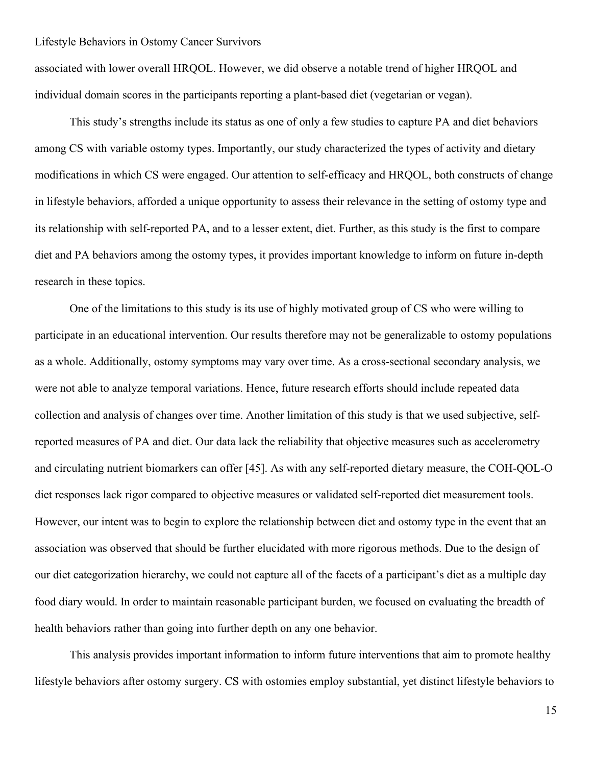associated with lower overall HRQOL. However, we did observe a notable trend of higher HRQOL and individual domain scores in the participants reporting a plant-based diet (vegetarian or vegan).

This study's strengths include its status as one of only a few studies to capture PA and diet behaviors among CS with variable ostomy types. Importantly, our study characterized the types of activity and dietary modifications in which CS were engaged. Our attention to self-efficacy and HRQOL, both constructs of change in lifestyle behaviors, afforded a unique opportunity to assess their relevance in the setting of ostomy type and its relationship with self-reported PA, and to a lesser extent, diet. Further, as this study is the first to compare diet and PA behaviors among the ostomy types, it provides important knowledge to inform on future in-depth research in these topics.

One of the limitations to this study is its use of highly motivated group of CS who were willing to participate in an educational intervention. Our results therefore may not be generalizable to ostomy populations as a whole. Additionally, ostomy symptoms may vary over time. As a cross-sectional secondary analysis, we were not able to analyze temporal variations. Hence, future research efforts should include repeated data collection and analysis of changes over time. Another limitation of this study is that we used subjective, selfreported measures of PA and diet. Our data lack the reliability that objective measures such as accelerometry and circulating nutrient biomarkers can offer [45]. As with any self-reported dietary measure, the COH-QOL-O diet responses lack rigor compared to objective measures or validated self-reported diet measurement tools. However, our intent was to begin to explore the relationship between diet and ostomy type in the event that an association was observed that should be further elucidated with more rigorous methods. Due to the design of our diet categorization hierarchy, we could not capture all of the facets of a participant's diet as a multiple day food diary would. In order to maintain reasonable participant burden, we focused on evaluating the breadth of health behaviors rather than going into further depth on any one behavior.

This analysis provides important information to inform future interventions that aim to promote healthy lifestyle behaviors after ostomy surgery. CS with ostomies employ substantial, yet distinct lifestyle behaviors to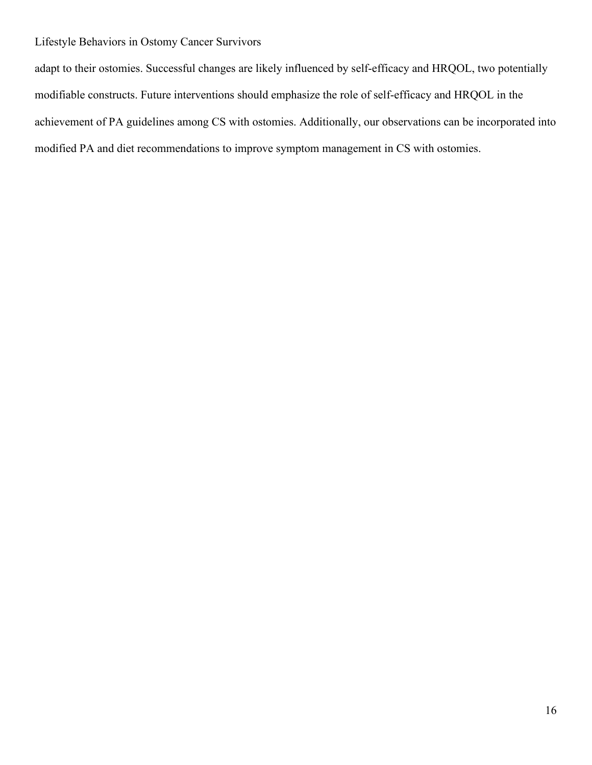adapt to their ostomies. Successful changes are likely influenced by self-efficacy and HRQOL, two potentially modifiable constructs. Future interventions should emphasize the role of self-efficacy and HRQOL in the achievement of PA guidelines among CS with ostomies. Additionally, our observations can be incorporated into modified PA and diet recommendations to improve symptom management in CS with ostomies.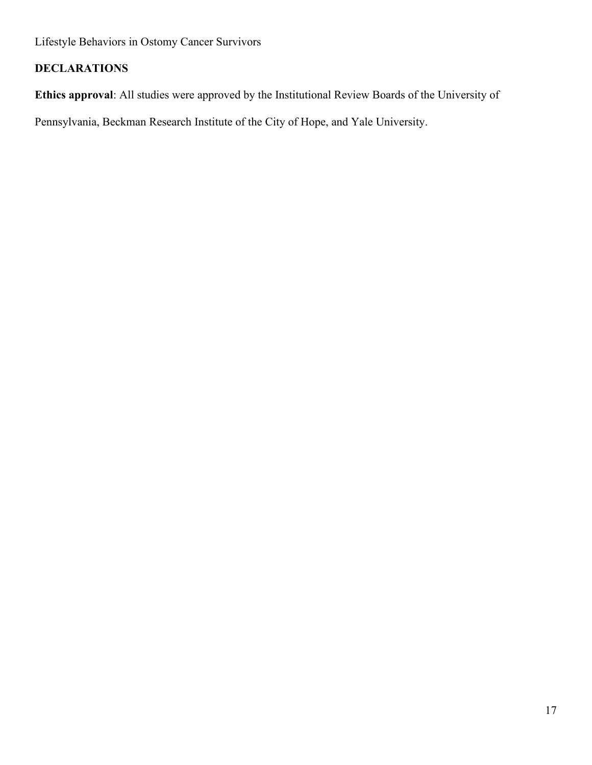# **DECLARATIONS**

**Ethics approval**: All studies were approved by the Institutional Review Boards of the University of

Pennsylvania, Beckman Research Institute of the City of Hope, and Yale University.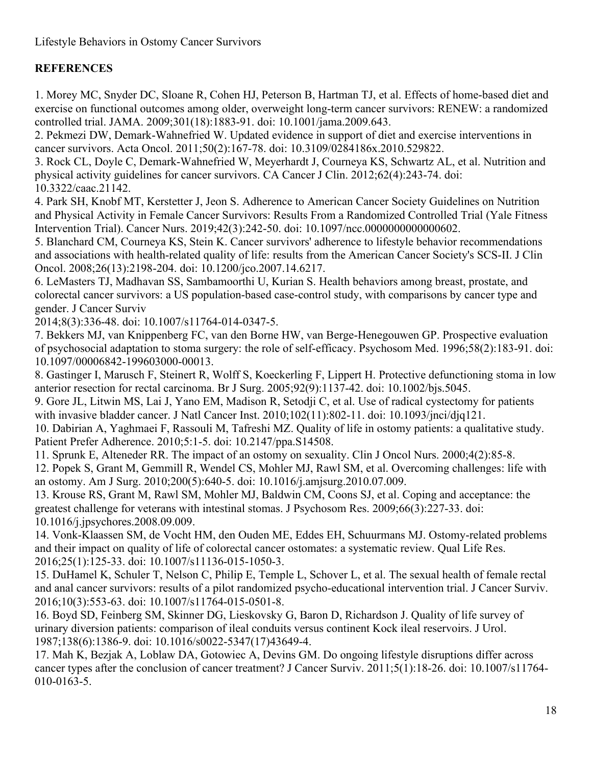# **REFERENCES**

1. Morey MC, Snyder DC, Sloane R, Cohen HJ, Peterson B, Hartman TJ, et al. Effects of home-based diet and exercise on functional outcomes among older, overweight long-term cancer survivors: RENEW: a randomized controlled trial. JAMA. 2009;301(18):1883-91. doi: 10.1001/jama.2009.643.

2. Pekmezi DW, Demark-Wahnefried W. Updated evidence in support of diet and exercise interventions in cancer survivors. Acta Oncol. 2011;50(2):167-78. doi: 10.3109/0284186x.2010.529822.

3. Rock CL, Doyle C, Demark-Wahnefried W, Meyerhardt J, Courneya KS, Schwartz AL, et al. Nutrition and physical activity guidelines for cancer survivors. CA Cancer J Clin. 2012;62(4):243-74. doi: 10.3322/caac.21142.

4. Park SH, Knobf MT, Kerstetter J, Jeon S. Adherence to American Cancer Society Guidelines on Nutrition and Physical Activity in Female Cancer Survivors: Results From a Randomized Controlled Trial (Yale Fitness Intervention Trial). Cancer Nurs. 2019;42(3):242-50. doi: 10.1097/ncc.0000000000000602.

5. Blanchard CM, Courneya KS, Stein K. Cancer survivors' adherence to lifestyle behavior recommendations and associations with health-related quality of life: results from the American Cancer Society's SCS-II. J Clin Oncol. 2008;26(13):2198-204. doi: 10.1200/jco.2007.14.6217.

6. LeMasters TJ, Madhavan SS, Sambamoorthi U, Kurian S. Health behaviors among breast, prostate, and colorectal cancer survivors: a US population-based case-control study, with comparisons by cancer type and gender. J Cancer Surviv

2014;8(3):336-48. doi: 10.1007/s11764-014-0347-5.

7. Bekkers MJ, van Knippenberg FC, van den Borne HW, van Berge-Henegouwen GP. Prospective evaluation of psychosocial adaptation to stoma surgery: the role of self-efficacy. Psychosom Med. 1996;58(2):183-91. doi: 10.1097/00006842-199603000-00013.

8. Gastinger I, Marusch F, Steinert R, Wolff S, Koeckerling F, Lippert H. Protective defunctioning stoma in low anterior resection for rectal carcinoma. Br J Surg. 2005;92(9):1137-42. doi: 10.1002/bjs.5045.

9. Gore JL, Litwin MS, Lai J, Yano EM, Madison R, Setodji C, et al. Use of radical cystectomy for patients with invasive bladder cancer. J Natl Cancer Inst. 2010;102(11):802-11. doi: 10.1093/jnci/djq121.

10. Dabirian A, Yaghmaei F, Rassouli M, Tafreshi MZ. Quality of life in ostomy patients: a qualitative study. Patient Prefer Adherence. 2010;5:1-5. doi: 10.2147/ppa.S14508.

11. Sprunk E, Alteneder RR. The impact of an ostomy on sexuality. Clin J Oncol Nurs. 2000;4(2):85-8.

12. Popek S, Grant M, Gemmill R, Wendel CS, Mohler MJ, Rawl SM, et al. Overcoming challenges: life with an ostomy. Am J Surg. 2010;200(5):640-5. doi: 10.1016/j.amjsurg.2010.07.009.

13. Krouse RS, Grant M, Rawl SM, Mohler MJ, Baldwin CM, Coons SJ, et al. Coping and acceptance: the greatest challenge for veterans with intestinal stomas. J Psychosom Res. 2009;66(3):227-33. doi: 10.1016/j.jpsychores.2008.09.009.

14. Vonk-Klaassen SM, de Vocht HM, den Ouden ME, Eddes EH, Schuurmans MJ. Ostomy-related problems and their impact on quality of life of colorectal cancer ostomates: a systematic review. Qual Life Res. 2016;25(1):125-33. doi: 10.1007/s11136-015-1050-3.

15. DuHamel K, Schuler T, Nelson C, Philip E, Temple L, Schover L, et al. The sexual health of female rectal and anal cancer survivors: results of a pilot randomized psycho-educational intervention trial. J Cancer Surviv. 2016;10(3):553-63. doi: 10.1007/s11764-015-0501-8.

16. Boyd SD, Feinberg SM, Skinner DG, Lieskovsky G, Baron D, Richardson J. Quality of life survey of urinary diversion patients: comparison of ileal conduits versus continent Kock ileal reservoirs. J Urol. 1987;138(6):1386-9. doi: 10.1016/s0022-5347(17)43649-4.

17. Mah K, Bezjak A, Loblaw DA, Gotowiec A, Devins GM. Do ongoing lifestyle disruptions differ across cancer types after the conclusion of cancer treatment? J Cancer Surviv. 2011;5(1):18-26. doi: 10.1007/s11764- 010-0163-5.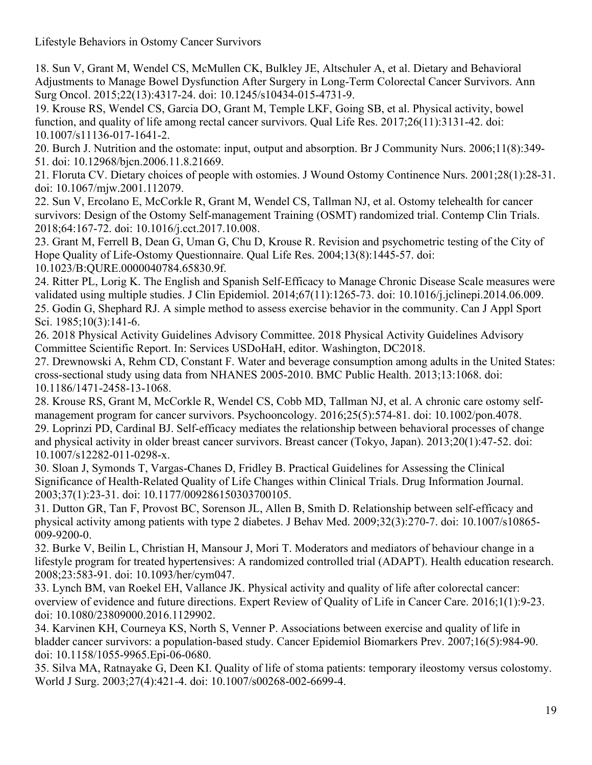18. Sun V, Grant M, Wendel CS, McMullen CK, Bulkley JE, Altschuler A, et al. Dietary and Behavioral Adjustments to Manage Bowel Dysfunction After Surgery in Long-Term Colorectal Cancer Survivors. Ann Surg Oncol. 2015;22(13):4317-24. doi: 10.1245/s10434-015-4731-9.

19. Krouse RS, Wendel CS, Garcia DO, Grant M, Temple LKF, Going SB, et al. Physical activity, bowel function, and quality of life among rectal cancer survivors. Qual Life Res. 2017;26(11):3131-42. doi: 10.1007/s11136-017-1641-2.

20. Burch J. Nutrition and the ostomate: input, output and absorption. Br J Community Nurs. 2006;11(8):349- 51. doi: 10.12968/bjcn.2006.11.8.21669.

21. Floruta CV. Dietary choices of people with ostomies. J Wound Ostomy Continence Nurs. 2001;28(1):28-31. doi: 10.1067/mjw.2001.112079.

22. Sun V, Ercolano E, McCorkle R, Grant M, Wendel CS, Tallman NJ, et al. Ostomy telehealth for cancer survivors: Design of the Ostomy Self-management Training (OSMT) randomized trial. Contemp Clin Trials. 2018;64:167-72. doi: 10.1016/j.cct.2017.10.008.

23. Grant M, Ferrell B, Dean G, Uman G, Chu D, Krouse R. Revision and psychometric testing of the City of Hope Quality of Life-Ostomy Questionnaire. Qual Life Res. 2004;13(8):1445-57. doi: 10.1023/B:QURE.0000040784.65830.9f.

24. Ritter PL, Lorig K. The English and Spanish Self-Efficacy to Manage Chronic Disease Scale measures were validated using multiple studies. J Clin Epidemiol. 2014;67(11):1265-73. doi: 10.1016/j.jclinepi.2014.06.009. 25. Godin G, Shephard RJ. A simple method to assess exercise behavior in the community. Can J Appl Sport Sci. 1985;10(3):141-6.

26. 2018 Physical Activity Guidelines Advisory Committee. 2018 Physical Activity Guidelines Advisory Committee Scientific Report. In: Services USDoHaH, editor. Washington, DC2018.

27. Drewnowski A, Rehm CD, Constant F. Water and beverage consumption among adults in the United States: cross-sectional study using data from NHANES 2005-2010. BMC Public Health. 2013;13:1068. doi: 10.1186/1471-2458-13-1068.

28. Krouse RS, Grant M, McCorkle R, Wendel CS, Cobb MD, Tallman NJ, et al. A chronic care ostomy selfmanagement program for cancer survivors. Psychooncology. 2016;25(5):574-81. doi: 10.1002/pon.4078. 29. Loprinzi PD, Cardinal BJ. Self-efficacy mediates the relationship between behavioral processes of change and physical activity in older breast cancer survivors. Breast cancer (Tokyo, Japan). 2013;20(1):47-52. doi: 10.1007/s12282-011-0298-x.

30. Sloan J, Symonds T, Vargas-Chanes D, Fridley B. Practical Guidelines for Assessing the Clinical Significance of Health-Related Quality of Life Changes within Clinical Trials. Drug Information Journal. 2003;37(1):23-31. doi: 10.1177/009286150303700105.

31. Dutton GR, Tan F, Provost BC, Sorenson JL, Allen B, Smith D. Relationship between self-efficacy and physical activity among patients with type 2 diabetes. J Behav Med. 2009;32(3):270-7. doi: 10.1007/s10865- 009-9200-0.

32. Burke V, Beilin L, Christian H, Mansour J, Mori T. Moderators and mediators of behaviour change in a lifestyle program for treated hypertensives: A randomized controlled trial (ADAPT). Health education research. 2008;23:583-91. doi: 10.1093/her/cym047.

33. Lynch BM, van Roekel EH, Vallance JK. Physical activity and quality of life after colorectal cancer: overview of evidence and future directions. Expert Review of Quality of Life in Cancer Care. 2016;1(1):9-23. doi: 10.1080/23809000.2016.1129902.

34. Karvinen KH, Courneya KS, North S, Venner P. Associations between exercise and quality of life in bladder cancer survivors: a population-based study. Cancer Epidemiol Biomarkers Prev. 2007;16(5):984-90. doi: 10.1158/1055-9965.Epi-06-0680.

35. Silva MA, Ratnayake G, Deen KI. Quality of life of stoma patients: temporary ileostomy versus colostomy. World J Surg. 2003;27(4):421-4. doi: 10.1007/s00268-002-6699-4.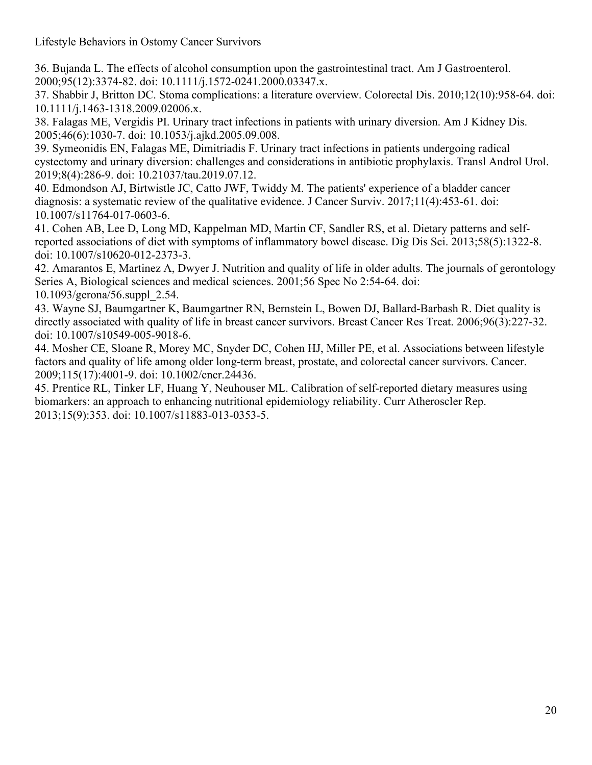36. Bujanda L. The effects of alcohol consumption upon the gastrointestinal tract. Am J Gastroenterol. 2000;95(12):3374-82. doi: 10.1111/j.1572-0241.2000.03347.x.

37. Shabbir J, Britton DC. Stoma complications: a literature overview. Colorectal Dis. 2010;12(10):958-64. doi: 10.1111/j.1463-1318.2009.02006.x.

38. Falagas ME, Vergidis PI. Urinary tract infections in patients with urinary diversion. Am J Kidney Dis. 2005;46(6):1030-7. doi: 10.1053/j.ajkd.2005.09.008.

39. Symeonidis EN, Falagas ME, Dimitriadis F. Urinary tract infections in patients undergoing radical cystectomy and urinary diversion: challenges and considerations in antibiotic prophylaxis. Transl Androl Urol. 2019;8(4):286-9. doi: 10.21037/tau.2019.07.12.

40. Edmondson AJ, Birtwistle JC, Catto JWF, Twiddy M. The patients' experience of a bladder cancer diagnosis: a systematic review of the qualitative evidence. J Cancer Surviv. 2017;11(4):453-61. doi: 10.1007/s11764-017-0603-6.

41. Cohen AB, Lee D, Long MD, Kappelman MD, Martin CF, Sandler RS, et al. Dietary patterns and selfreported associations of diet with symptoms of inflammatory bowel disease. Dig Dis Sci. 2013;58(5):1322-8. doi: 10.1007/s10620-012-2373-3.

42. Amarantos E, Martinez A, Dwyer J. Nutrition and quality of life in older adults. The journals of gerontology Series A, Biological sciences and medical sciences. 2001;56 Spec No 2:54-64. doi: 10.1093/gerona/56.suppl\_2.54.

43. Wayne SJ, Baumgartner K, Baumgartner RN, Bernstein L, Bowen DJ, Ballard-Barbash R. Diet quality is directly associated with quality of life in breast cancer survivors. Breast Cancer Res Treat. 2006;96(3):227-32. doi: 10.1007/s10549-005-9018-6.

44. Mosher CE, Sloane R, Morey MC, Snyder DC, Cohen HJ, Miller PE, et al. Associations between lifestyle factors and quality of life among older long-term breast, prostate, and colorectal cancer survivors. Cancer. 2009;115(17):4001-9. doi: 10.1002/cncr.24436.

45. Prentice RL, Tinker LF, Huang Y, Neuhouser ML. Calibration of self-reported dietary measures using biomarkers: an approach to enhancing nutritional epidemiology reliability. Curr Atheroscler Rep. 2013;15(9):353. doi: 10.1007/s11883-013-0353-5.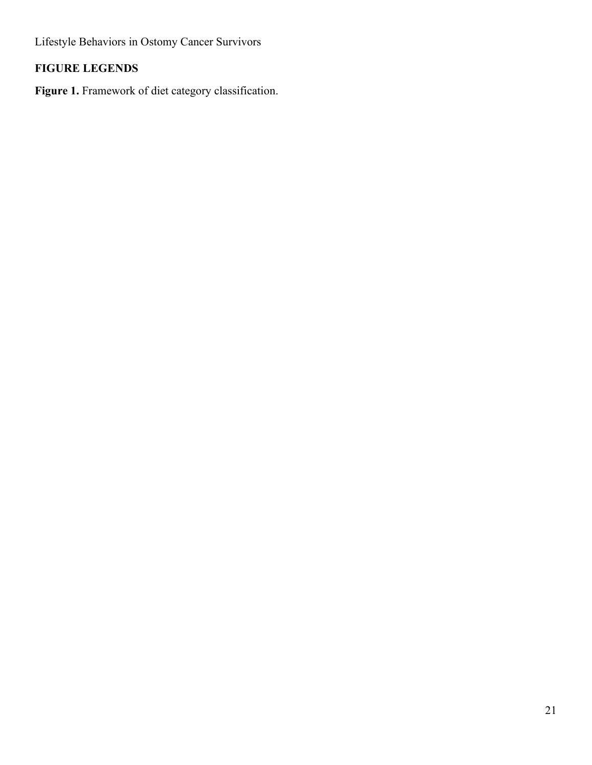# **FIGURE LEGENDS**

Figure 1. Framework of diet category classification.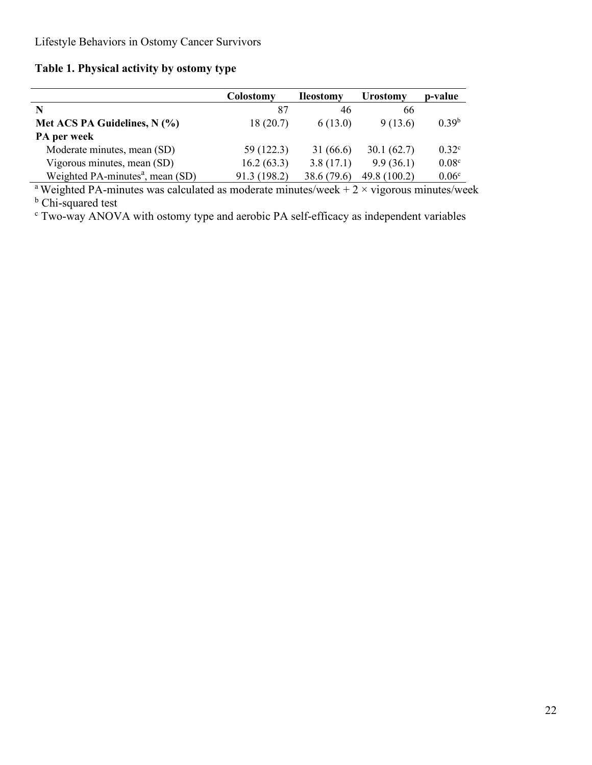# **Table 1. Physical activity by ostomy type**

|                                              | Colostomy    | <b>Ileostomy</b> | <b>Urostomy</b> | p-value           |
|----------------------------------------------|--------------|------------------|-----------------|-------------------|
| N                                            | 87           | 46               | 66              |                   |
| Met ACS PA Guidelines, N (%)                 | 18(20.7)     | 6(13.0)          | 9(13.6)         | 0.39 <sup>b</sup> |
| PA per week                                  |              |                  |                 |                   |
| Moderate minutes, mean (SD)                  | 59 (122.3)   | 31(66.6)         | 30.1(62.7)      | $0.32^{\circ}$    |
| Vigorous minutes, mean (SD)                  | 16.2(63.3)   | 3.8(17.1)        | 9.9(36.1)       | 0.08 <sup>c</sup> |
| Weighted PA-minutes <sup>a</sup> , mean (SD) | 91.3 (198.2) | 38.6 (79.6)      | 49.8 (100.2)    | 0.06 <sup>c</sup> |

<sup>a</sup> Weighted PA-minutes was calculated as moderate minutes/week  $+ 2 \times$  vigorous minutes/week **b** Chi-squared test

<sup>c</sup> Two-way ANOVA with ostomy type and aerobic PA self-efficacy as independent variables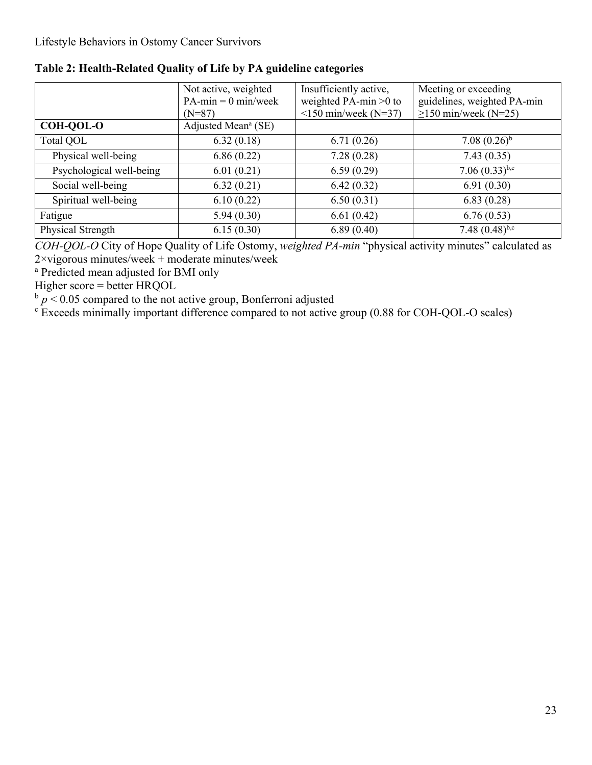|                          | Not active, weighted            | Insufficiently active,     | Meeting or exceeding         |  |
|--------------------------|---------------------------------|----------------------------|------------------------------|--|
|                          | $PA-min = 0 min/week$           | weighted PA-min $>0$ to    | guidelines, weighted PA-min  |  |
|                          | $(N=87)$                        | $\leq$ 150 min/week (N=37) | $\geq$ 150 min/week (N=25)   |  |
| <b>COH-QOL-O</b>         | Adjusted Mean <sup>a</sup> (SE) |                            |                              |  |
| Total QOL                | 6.32(0.18)                      | 6.71(0.26)                 | $7.08~(0.26)^{b}$            |  |
| Physical well-being      | 6.86(0.22)                      | 7.28(0.28)                 | 7.43(0.35)                   |  |
| Psychological well-being | 6.01(0.21)                      | 6.59(0.29)                 | 7.06 $(0.33)$ <sup>b,c</sup> |  |
| Social well-being        | 6.32(0.21)                      | 6.42(0.32)                 | 6.91(0.30)                   |  |
| Spiritual well-being     | 6.10(0.22)                      | 6.50(0.31)                 | 6.83(0.28)                   |  |
| Fatigue                  | 5.94(0.30)                      | 6.61(0.42)                 | 6.76(0.53)                   |  |
| Physical Strength        | 6.15(0.30)                      | 6.89(0.40)                 | 7.48 $(0.48)^{b,c}$          |  |

**Table 2: Health-Related Quality of Life by PA guideline categories**

*COH-QOL-O* City of Hope Quality of Life Ostomy, *weighted PA-min* "physical activity minutes" calculated as 2×vigorous minutes/week + moderate minutes/week

<sup>a</sup> Predicted mean adjusted for BMI only

Higher score = better HRQOL

 $\frac{b}{p}$   $\leq$  0.05 compared to the not active group, Bonferroni adjusted

<sup>c</sup> Exceeds minimally important difference compared to not active group (0.88 for COH-QOL-O scales)